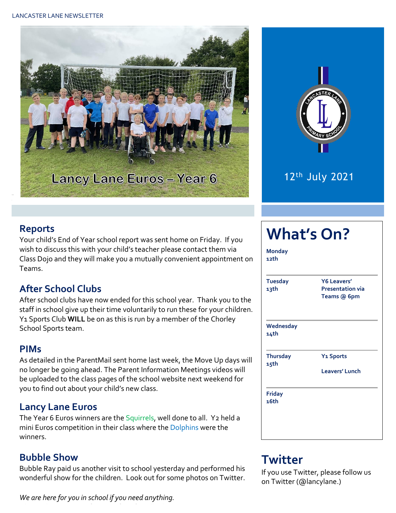



12th July 2021

#### **Reports**

Your child's End of Year school report was sent home on Friday. If you wish to discuss this with your child's teacher please contact them via Class Dojo and they will make you a mutually convenient appointment on Teams.

## **After School Clubs**

After school clubs have now ended for this school year. Thank you to the staff in school give up their time voluntarily to run these for your children. Y1 Sports Club **WILL** be on as this is run by a member of the Chorley School Sports team.

#### **PIMs**

As detailed in the ParentMail sent home last week, the Move Up days will no longer be going ahead. The Parent Information Meetings videos will be uploaded to the class pages of the school website next weekend for you to find out about your child's new class.

#### **Lancy Lane Euros**

The Year 6 Euros winners are the Squirrels, well done to all. Y2 held a mini Euros competition in their class where the Dolphins were the winners.

#### **Bubble Show**

Bubble Ray paid us another visit to school yesterday and performed his wonderful show for the children. Look out for some photos on Twitter.

*We are here for you in school if you need anything. Please phone us even if it is just for a friendly chat.* 

# **What's On?**

| <b>Tuesday</b><br>13th  | <b>Y6 Leavers'</b><br><b>Presentation via</b><br>Teams @ 6pm |  |  |
|-------------------------|--------------------------------------------------------------|--|--|
| Wednesday<br>14th       |                                                              |  |  |
| <b>Thursday</b><br>15th | <b>Y<sub>1</sub></b> Sports                                  |  |  |
|                         | <b>Leavers' Lunch</b>                                        |  |  |
| <b>Friday</b><br>16th   |                                                              |  |  |

# **Twitter**

If you use Twitter, please follow us on Twitter (@lancylane.)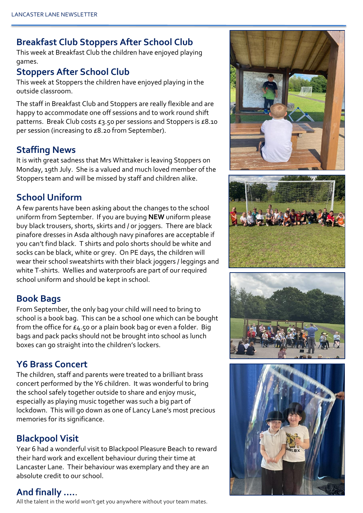### **Breakfast Club Stoppers After School Club**

This week at Breakfast Club the children have enjoyed playing games.

### **Stoppers After School Club**

This week at Stoppers the children have enjoyed playing in the outside classroom.

The staff in Breakfast Club and Stoppers are really flexible and are happy to accommodate one off sessions and to work round shift patterns. Break Club costs £3.50 per sessions and Stoppers is £8.10 per session (increasing to £8.20 from September).

### **Staffing News**

It is with great sadness that Mrs Whittaker is leaving Stoppers on Monday, 19th July. She is a valued and much loved member of the Stoppers team and will be missed by staff and children alike.

## **School Uniform**

A few parents have been asking about the changes to the school uniform from September. If you are buying **NEW** uniform please buy black trousers, shorts, skirts and / or joggers. There are black pinafore dresses in Asda although navy pinafores are acceptable if you can't find black. T shirts and polo shorts should be white and socks can be black, white or grey. On PE days, the children will wear their school sweatshirts with their black joggers / leggings and white T-shirts. Wellies and waterproofs are part of our required school uniform and should be kept in school.

#### **Book Bags**

From September, the only bag your child will need to bring to school is a book bag. This can be a school one which can be bought from the office for £4.50 or a plain book bag or even a folder. Big bags and pack packs should not be brought into school as lunch boxes can go straight into the children's lockers.

#### **Y6 Brass Concert**

The children, staff and parents were treated to a brilliant brass concert performed by the Y6 children. It was wonderful to bring the school safely together outside to share and enjoy music, especially as playing music together was such a big part of lockdown. This will go down as one of Lancy Lane's most precious memories for its significance.

### **Blackpool Visit**

Year 6 had a wonderful visit to Blackpool Pleasure Beach to reward their hard work and excellent behaviour during their time at Lancaster Lane. Their behaviour was exemplary and they are an absolute credit to our school.

#### **And finally ….**.

All the talent in the world won't get you anywhere without your team mates.